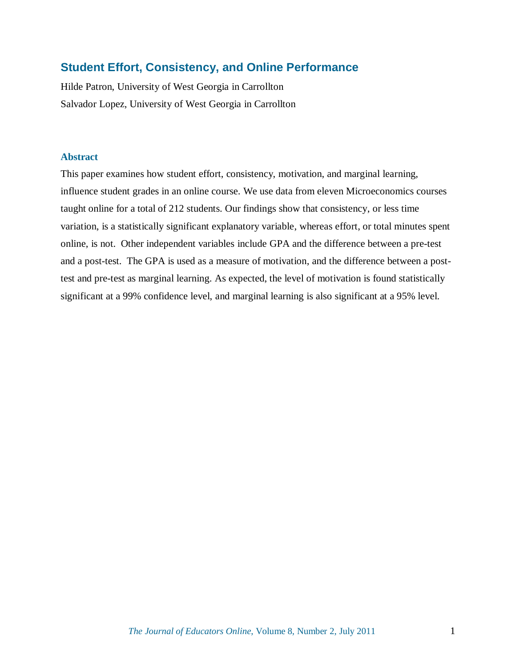# **Student Effort, Consistency, and Online Performance**

Hilde Patron, University of West Georgia in Carrollton Salvador Lopez, University of West Georgia in Carrollton

# **Abstract**

This paper examines how student effort, consistency, motivation, and marginal learning, influence student grades in an online course. We use data from eleven Microeconomics courses taught online for a total of 212 students. Our findings show that consistency, or less time variation, is a statistically significant explanatory variable, whereas effort, or total minutes spent online, is not. Other independent variables include GPA and the difference between a pre-test and a post-test. The GPA is used as a measure of motivation, and the difference between a posttest and pre-test as marginal learning. As expected, the level of motivation is found statistically significant at a 99% confidence level, and marginal learning is also significant at a 95% level.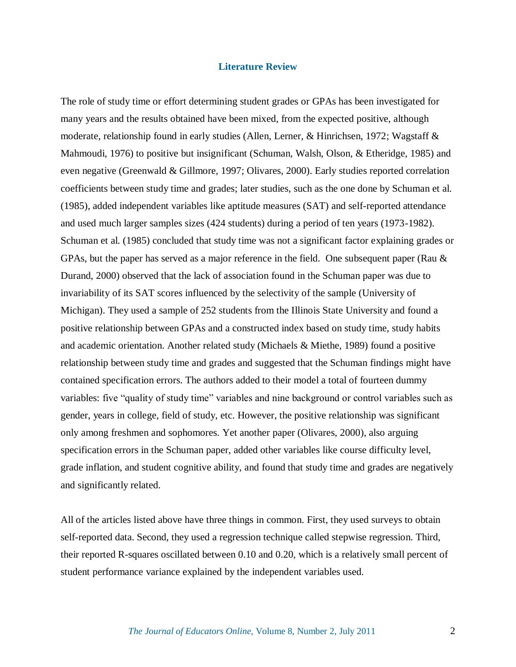### **Literature Review**

The role of study time or effort determining student grades or GPAs has been investigated for many years and the results obtained have been mixed, from the expected positive, although moderate, relationship found in early studies (Allen, Lerner, & Hinrichsen, 1972; Wagstaff & Mahmoudi, 1976) to positive but insignificant (Schuman, Walsh, Olson, & Etheridge, 1985) and even negative (Greenwald & Gillmore, 1997; Olivares, 2000). Early studies reported correlation coefficients between study time and grades; later studies, such as the one done by Schuman et al. (1985), added independent variables like aptitude measures (SAT) and self-reported attendance and used much larger samples sizes (424 students) during a period of ten years (1973-1982). Schuman et al. (1985) concluded that study time was not a significant factor explaining grades or GPAs, but the paper has served as a major reference in the field. One subsequent paper (Rau  $\&$ Durand, 2000) observed that the lack of association found in the Schuman paper was due to invariability of its SAT scores influenced by the selectivity of the sample (University of Michigan). They used a sample of 252 students from the Illinois State University and found a positive relationship between GPAs and a constructed index based on study time, study habits and academic orientation. Another related study (Michaels & Miethe, 1989) found a positive relationship between study time and grades and suggested that the Schuman findings might have contained specification errors. The authors added to their model a total of fourteen dummy variables: five "quality of study time" variables and nine background or control variables such as gender, years in college, field of study, etc. However, the positive relationship was significant only among freshmen and sophomores. Yet another paper (Olivares, 2000), also arguing specification errors in the Schuman paper, added other variables like course difficulty level, grade inflation, and student cognitive ability, and found that study time and grades are negatively and significantly related.

All of the articles listed above have three things in common. First, they used surveys to obtain self-reported data. Second, they used a regression technique called stepwise regression. Third, their reported R-squares oscillated between 0.10 and 0.20, which is a relatively small percent of student performance variance explained by the independent variables used.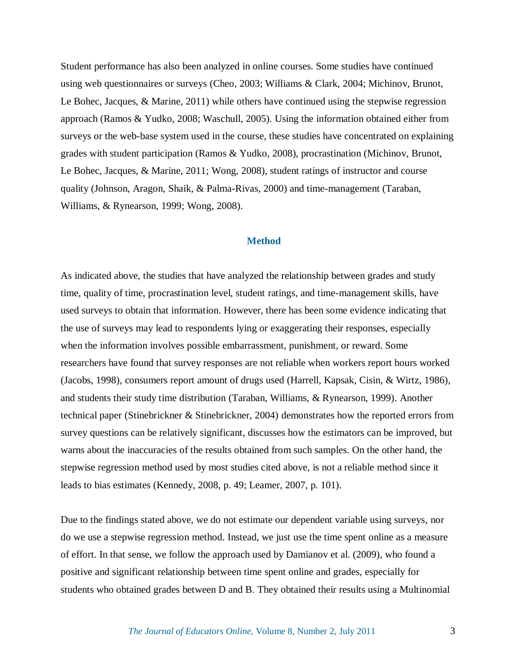Student performance has also been analyzed in online courses. Some studies have continued using web questionnaires or surveys (Cheo, 2003; Williams & Clark, 2004; Michinov, Brunot, Le Bohec, Jacques, & Marine, 2011) while others have continued using the stepwise regression approach (Ramos & Yudko, 2008; Waschull, 2005). Using the information obtained either from surveys or the web-base system used in the course, these studies have concentrated on explaining grades with student participation (Ramos & Yudko, 2008), procrastination (Michinov, Brunot, Le Bohec, Jacques, & Marine, 2011; Wong, 2008), student ratings of instructor and course quality (Johnson, Aragon, Shaik, & Palma-Rivas, 2000) and time-management (Taraban, Williams, & Rynearson, 1999; Wong, 2008).

# **Method**

As indicated above, the studies that have analyzed the relationship between grades and study time, quality of time, procrastination level, student ratings, and time-management skills, have used surveys to obtain that information. However, there has been some evidence indicating that the use of surveys may lead to respondents lying or exaggerating their responses, especially when the information involves possible embarrassment, punishment, or reward. Some researchers have found that survey responses are not reliable when workers report hours worked (Jacobs, 1998), consumers report amount of drugs used (Harrell, Kapsak, Cisin, & Wirtz, 1986), and students their study time distribution (Taraban, Williams, & Rynearson, 1999). Another technical paper (Stinebrickner & Stinebrickner, 2004) demonstrates how the reported errors from survey questions can be relatively significant, discusses how the estimators can be improved, but warns about the inaccuracies of the results obtained from such samples. On the other hand, the stepwise regression method used by most studies cited above, is not a reliable method since it leads to bias estimates (Kennedy, 2008, p. 49; Leamer, 2007, p. 101).

Due to the findings stated above, we do not estimate our dependent variable using surveys, nor do we use a stepwise regression method. Instead, we just use the time spent online as a measure of effort. In that sense, we follow the approach used by Damianov et al. (2009), who found a positive and significant relationship between time spent online and grades, especially for students who obtained grades between D and B. They obtained their results using a Multinomial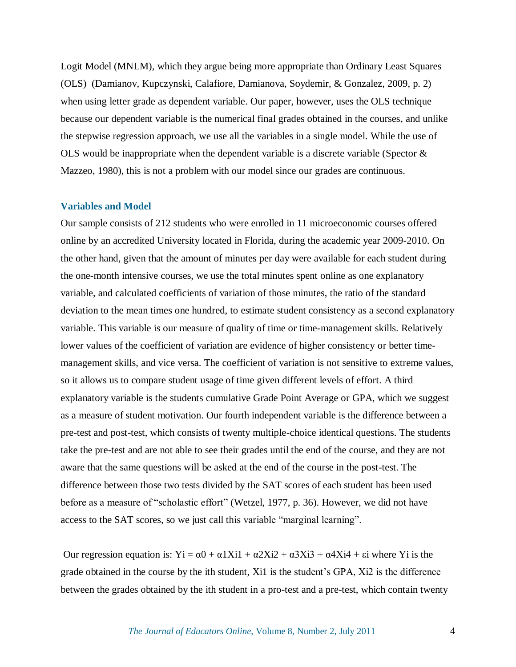Logit Model (MNLM), which they argue being more appropriate than Ordinary Least Squares (OLS) (Damianov, Kupczynski, Calafiore, Damianova, Soydemir, & Gonzalez, 2009, p. 2) when using letter grade as dependent variable. Our paper, however, uses the OLS technique because our dependent variable is the numerical final grades obtained in the courses, and unlike the stepwise regression approach, we use all the variables in a single model. While the use of OLS would be inappropriate when the dependent variable is a discrete variable (Spector  $\&$ Mazzeo, 1980), this is not a problem with our model since our grades are continuous.

### **Variables and Model**

Our sample consists of 212 students who were enrolled in 11 microeconomic courses offered online by an accredited University located in Florida, during the academic year 2009-2010. On the other hand, given that the amount of minutes per day were available for each student during the one-month intensive courses, we use the total minutes spent online as one explanatory variable, and calculated coefficients of variation of those minutes, the ratio of the standard deviation to the mean times one hundred, to estimate student consistency as a second explanatory variable. This variable is our measure of quality of time or time-management skills. Relatively lower values of the coefficient of variation are evidence of higher consistency or better timemanagement skills, and vice versa. The coefficient of variation is not sensitive to extreme values, so it allows us to compare student usage of time given different levels of effort. A third explanatory variable is the students cumulative Grade Point Average or GPA, which we suggest as a measure of student motivation. Our fourth independent variable is the difference between a pre-test and post-test, which consists of twenty multiple-choice identical questions. The students take the pre-test and are not able to see their grades until the end of the course, and they are not aware that the same questions will be asked at the end of the course in the post-test. The difference between those two tests divided by the SAT scores of each student has been used before as a measure of "scholastic effort" (Wetzel, 1977, p. 36). However, we did not have access to the SAT scores, so we just call this variable "marginal learning".

Our regression equation is:  $yi = \alpha 0 + \alpha 1Xi1 + \alpha 2Xi2 + \alpha 3Xi3 + \alpha 4Xi4 + \epsilon i$  where Yi is the grade obtained in the course by the ith student, Xi1 is the student's GPA, Xi2 is the difference between the grades obtained by the ith student in a pro-test and a pre-test, which contain twenty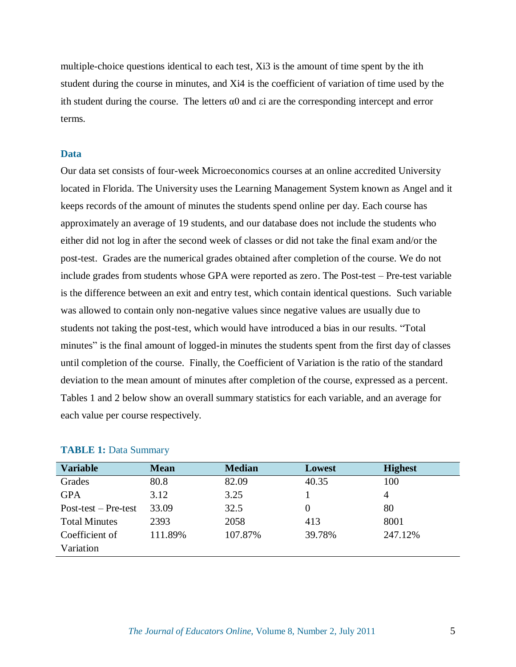multiple-choice questions identical to each test, Xi3 is the amount of time spent by the ith student during the course in minutes, and Xi4 is the coefficient of variation of time used by the ith student during the course. The letters  $\alpha$ 0 and  $\epsilon$  i are the corresponding intercept and error terms.

## **Data**

Our data set consists of four-week Microeconomics courses at an online accredited University located in Florida. The University uses the Learning Management System known as Angel and it keeps records of the amount of minutes the students spend online per day. Each course has approximately an average of 19 students, and our database does not include the students who either did not log in after the second week of classes or did not take the final exam and/or the post-test. Grades are the numerical grades obtained after completion of the course. We do not include grades from students whose GPA were reported as zero. The Post-test – Pre-test variable is the difference between an exit and entry test, which contain identical questions. Such variable was allowed to contain only non-negative values since negative values are usually due to students not taking the post-test, which would have introduced a bias in our results. "Total minutes" is the final amount of logged-in minutes the students spent from the first day of classes until completion of the course. Finally, the Coefficient of Variation is the ratio of the standard deviation to the mean amount of minutes after completion of the course, expressed as a percent. Tables 1 and 2 below show an overall summary statistics for each variable, and an average for each value per course respectively.

| <b>Variable</b>        | <b>Mean</b> | <b>Median</b> | Lowest | <b>Highest</b> |
|------------------------|-------------|---------------|--------|----------------|
| Grades                 | 80.8        | 82.09         | 40.35  | 100            |
| <b>GPA</b>             | 3.12        | 3.25          |        | 4              |
| $Post-test - Pre-test$ | 33.09       | 32.5          |        | 80             |
| <b>Total Minutes</b>   | 2393        | 2058          | 413    | 8001           |
| Coefficient of         | 111.89%     | 107.87%       | 39.78% | 247.12%        |
| Variation              |             |               |        |                |

#### **TABLE 1: Data Summary**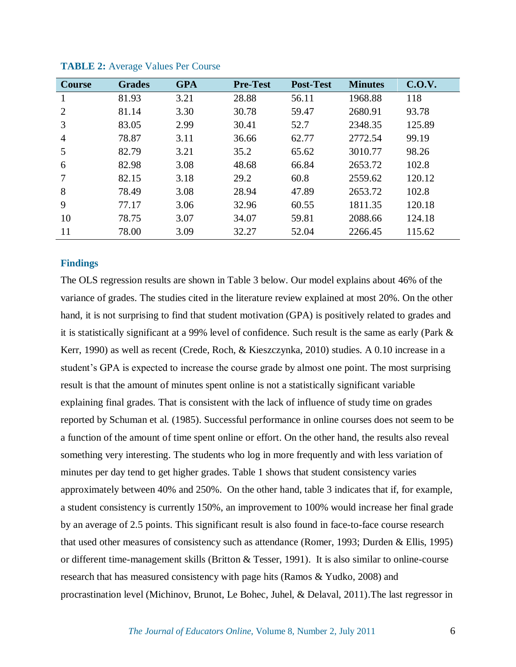| <b>Course</b> | <b>Grades</b> | <b>GPA</b> | <b>Pre-Test</b> | <b>Post-Test</b> | <b>Minutes</b> | C.O.V. |
|---------------|---------------|------------|-----------------|------------------|----------------|--------|
|               | 81.93         | 3.21       | 28.88           | 56.11            | 1968.88        | 118    |
| 2             | 81.14         | 3.30       | 30.78           | 59.47            | 2680.91        | 93.78  |
| 3             | 83.05         | 2.99       | 30.41           | 52.7             | 2348.35        | 125.89 |
| 4             | 78.87         | 3.11       | 36.66           | 62.77            | 2772.54        | 99.19  |
| 5             | 82.79         | 3.21       | 35.2            | 65.62            | 3010.77        | 98.26  |
| 6             | 82.98         | 3.08       | 48.68           | 66.84            | 2653.72        | 102.8  |
|               | 82.15         | 3.18       | 29.2            | 60.8             | 2559.62        | 120.12 |
| 8             | 78.49         | 3.08       | 28.94           | 47.89            | 2653.72        | 102.8  |
| 9             | 77.17         | 3.06       | 32.96           | 60.55            | 1811.35        | 120.18 |
| 10            | 78.75         | 3.07       | 34.07           | 59.81            | 2088.66        | 124.18 |
| 11            | 78.00         | 3.09       | 32.27           | 52.04            | 2266.45        | 115.62 |

**TABLE 2:** Average Values Per Course

# **Findings**

The OLS regression results are shown in Table 3 below. Our model explains about 46% of the variance of grades. The studies cited in the literature review explained at most 20%. On the other hand, it is not surprising to find that student motivation (GPA) is positively related to grades and it is statistically significant at a 99% level of confidence. Such result is the same as early (Park & Kerr, 1990) as well as recent (Crede, Roch, & Kieszczynka, 2010) studies. A 0.10 increase in a student's GPA is expected to increase the course grade by almost one point. The most surprising result is that the amount of minutes spent online is not a statistically significant variable explaining final grades. That is consistent with the lack of influence of study time on grades reported by Schuman et al. (1985). Successful performance in online courses does not seem to be a function of the amount of time spent online or effort. On the other hand, the results also reveal something very interesting. The students who log in more frequently and with less variation of minutes per day tend to get higher grades. Table 1 shows that student consistency varies approximately between 40% and 250%. On the other hand, table 3 indicates that if, for example, a student consistency is currently 150%, an improvement to 100% would increase her final grade by an average of 2.5 points. This significant result is also found in face-to-face course research that used other measures of consistency such as attendance (Romer, 1993; Durden & Ellis, 1995) or different time-management skills (Britton & Tesser, 1991). It is also similar to online-course research that has measured consistency with page hits (Ramos & Yudko, 2008) and procrastination level (Michinov, Brunot, Le Bohec, Juhel, & Delaval, 2011).The last regressor in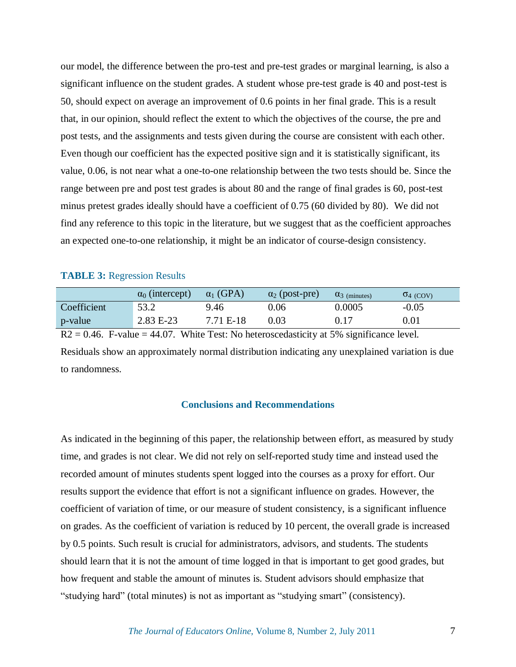our model, the difference between the pro-test and pre-test grades or marginal learning, is also a significant influence on the student grades. A student whose pre-test grade is 40 and post-test is 50, should expect on average an improvement of 0.6 points in her final grade. This is a result that, in our opinion, should reflect the extent to which the objectives of the course, the pre and post tests, and the assignments and tests given during the course are consistent with each other. Even though our coefficient has the expected positive sign and it is statistically significant, its value, 0.06, is not near what a one-to-one relationship between the two tests should be. Since the range between pre and post test grades is about 80 and the range of final grades is 60, post-test minus pretest grades ideally should have a coefficient of 0.75 (60 divided by 80). We did not find any reference to this topic in the literature, but we suggest that as the coefficient approaches an expected one-to-one relationship, it might be an indicator of course-design consistency.

## **TABLE 3:** Regression Results

|             | $\alpha_0$ (intercept) | $\alpha_1$ (GPA) | $\alpha_2$ (post-pre) | $\alpha_3$ (minutes) | $\sigma$ <sub>4</sub> (COV) |
|-------------|------------------------|------------------|-----------------------|----------------------|-----------------------------|
| Coefficient | 53.2                   | 9.46             | 0.06                  | 0.0005               | $-0.05$                     |
| p-value     | $2.83 E-23$            | 7.71 E-18        | $\rm 0.03$            | 0.17                 | $\rm 0.01$                  |

 $R2 = 0.46$ . F-value = 44.07. White Test: No heteroscedasticity at 5% significance level. Residuals show an approximately normal distribution indicating any unexplained variation is due to randomness.

# **Conclusions and Recommendations**

As indicated in the beginning of this paper, the relationship between effort, as measured by study time, and grades is not clear. We did not rely on self-reported study time and instead used the recorded amount of minutes students spent logged into the courses as a proxy for effort. Our results support the evidence that effort is not a significant influence on grades. However, the coefficient of variation of time, or our measure of student consistency, is a significant influence on grades. As the coefficient of variation is reduced by 10 percent, the overall grade is increased by 0.5 points. Such result is crucial for administrators, advisors, and students. The students should learn that it is not the amount of time logged in that is important to get good grades, but how frequent and stable the amount of minutes is. Student advisors should emphasize that "studying hard" (total minutes) is not as important as "studying smart" (consistency).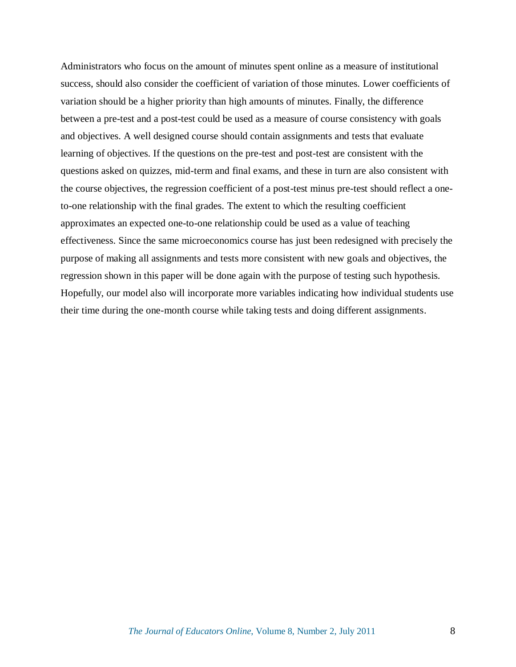Administrators who focus on the amount of minutes spent online as a measure of institutional success, should also consider the coefficient of variation of those minutes. Lower coefficients of variation should be a higher priority than high amounts of minutes. Finally, the difference between a pre-test and a post-test could be used as a measure of course consistency with goals and objectives. A well designed course should contain assignments and tests that evaluate learning of objectives. If the questions on the pre-test and post-test are consistent with the questions asked on quizzes, mid-term and final exams, and these in turn are also consistent with the course objectives, the regression coefficient of a post-test minus pre-test should reflect a oneto-one relationship with the final grades. The extent to which the resulting coefficient approximates an expected one-to-one relationship could be used as a value of teaching effectiveness. Since the same microeconomics course has just been redesigned with precisely the purpose of making all assignments and tests more consistent with new goals and objectives, the regression shown in this paper will be done again with the purpose of testing such hypothesis. Hopefully, our model also will incorporate more variables indicating how individual students use their time during the one-month course while taking tests and doing different assignments.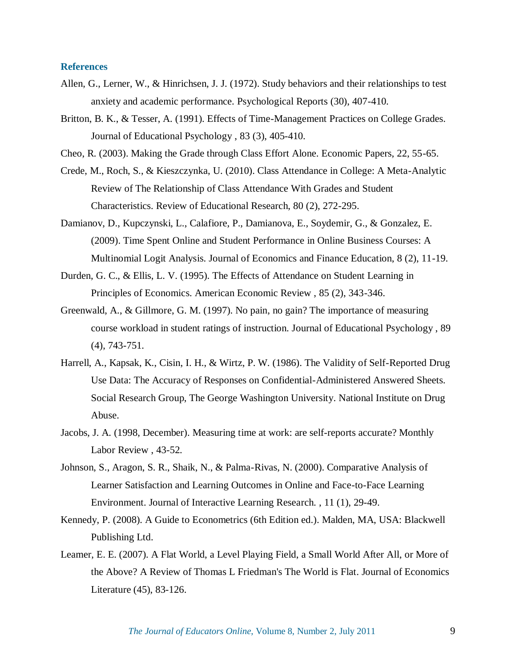## **References**

- Allen, G., Lerner, W., & Hinrichsen, J. J. (1972). Study behaviors and their relationships to test anxiety and academic performance. Psychological Reports (30), 407-410.
- Britton, B. K., & Tesser, A. (1991). Effects of Time-Management Practices on College Grades. Journal of Educational Psychology , 83 (3), 405-410.
- Cheo, R. (2003). Making the Grade through Class Effort Alone. Economic Papers, 22, 55-65.
- Crede, M., Roch, S., & Kieszczynka, U. (2010). Class Attendance in College: A Meta-Analytic Review of The Relationship of Class Attendance With Grades and Student Characteristics. Review of Educational Research, 80 (2), 272-295.
- Damianov, D., Kupczynski, L., Calafiore, P., Damianova, E., Soydemir, G., & Gonzalez, E. (2009). Time Spent Online and Student Performance in Online Business Courses: A Multinomial Logit Analysis. Journal of Economics and Finance Education, 8 (2), 11-19.
- Durden, G. C., & Ellis, L. V. (1995). The Effects of Attendance on Student Learning in Principles of Economics. American Economic Review , 85 (2), 343-346.
- Greenwald, A., & Gillmore, G. M. (1997). No pain, no gain? The importance of measuring course workload in student ratings of instruction. Journal of Educational Psychology , 89 (4), 743-751.
- Harrell, A., Kapsak, K., Cisin, I. H., & Wirtz, P. W. (1986). The Validity of Self-Reported Drug Use Data: The Accuracy of Responses on Confidential-Administered Answered Sheets. Social Research Group, The George Washington University. National Institute on Drug Abuse.
- Jacobs, J. A. (1998, December). Measuring time at work: are self-reports accurate? Monthly Labor Review , 43-52.
- Johnson, S., Aragon, S. R., Shaik, N., & Palma-Rivas, N. (2000). Comparative Analysis of Learner Satisfaction and Learning Outcomes in Online and Face-to-Face Learning Environment. Journal of Interactive Learning Research. , 11 (1), 29-49.
- Kennedy, P. (2008). A Guide to Econometrics (6th Edition ed.). Malden, MA, USA: Blackwell Publishing Ltd.
- Leamer, E. E. (2007). A Flat World, a Level Playing Field, a Small World After All, or More of the Above? A Review of Thomas L Friedman's The World is Flat. Journal of Economics Literature (45), 83-126.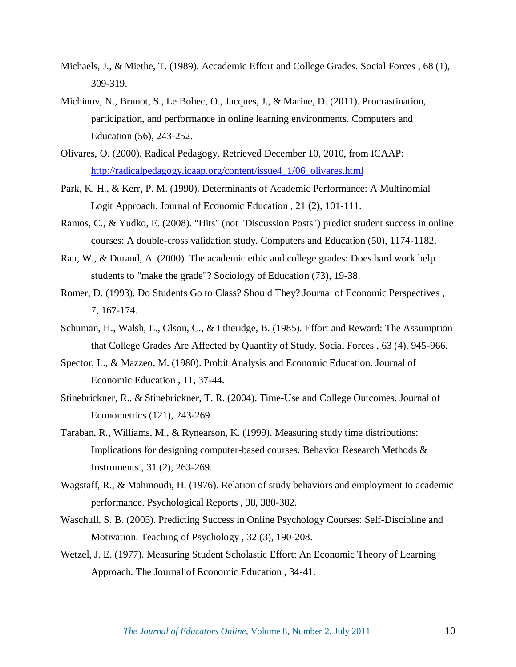- Michaels, J., & Miethe, T. (1989). Accademic Effort and College Grades. Social Forces , 68 (1), 309-319.
- Michinov, N., Brunot, S., Le Bohec, O., Jacques, J., & Marine, D. (2011). Procrastination, participation, and performance in online learning environments. Computers and Education (56), 243-252.
- Olivares, O. (2000). Radical Pedagogy. Retrieved December 10, 2010, from ICAAP: [http://radicalpedagogy.icaap.org/content/issue4\\_1/06\\_olivares.html](http://radicalpedagogy.icaap.org/content/issue4_1/06_olivares.html)
- Park, K. H., & Kerr, P. M. (1990). Determinants of Academic Performance: A Multinomial Logit Approach. Journal of Economic Education , 21 (2), 101-111.
- Ramos, C., & Yudko, E. (2008). "Hits" (not "Discussion Posts") predict student success in online courses: A double-cross validation study. Computers and Education (50), 1174-1182.
- Rau, W., & Durand, A. (2000). The academic ethic and college grades: Does hard work help students to "make the grade"? Sociology of Education (73), 19-38.
- Romer, D. (1993). Do Students Go to Class? Should They? Journal of Economic Perspectives , 7, 167-174.
- Schuman, H., Walsh, E., Olson, C., & Etheridge, B. (1985). Effort and Reward: The Assumption that College Grades Are Affected by Quantity of Study. Social Forces , 63 (4), 945-966.
- Spector, L., & Mazzeo, M. (1980). Probit Analysis and Economic Education. Journal of Economic Education , 11, 37-44.
- Stinebrickner, R., & Stinebrickner, T. R. (2004). Time-Use and College Outcomes. Journal of Econometrics (121), 243-269.
- Taraban, R., Williams, M., & Rynearson, K. (1999). Measuring study time distributions: Implications for designing computer-based courses. Behavior Research Methods & Instruments , 31 (2), 263-269.
- Wagstaff, R., & Mahmoudi, H. (1976). Relation of study behaviors and employment to academic performance. Psychological Reports , 38, 380-382.
- Waschull, S. B. (2005). Predicting Success in Online Psychology Courses: Self-Discipline and Motivation. Teaching of Psychology , 32 (3), 190-208.
- Wetzel, J. E. (1977). Measuring Student Scholastic Effort: An Economic Theory of Learning Approach. The Journal of Economic Education , 34-41.